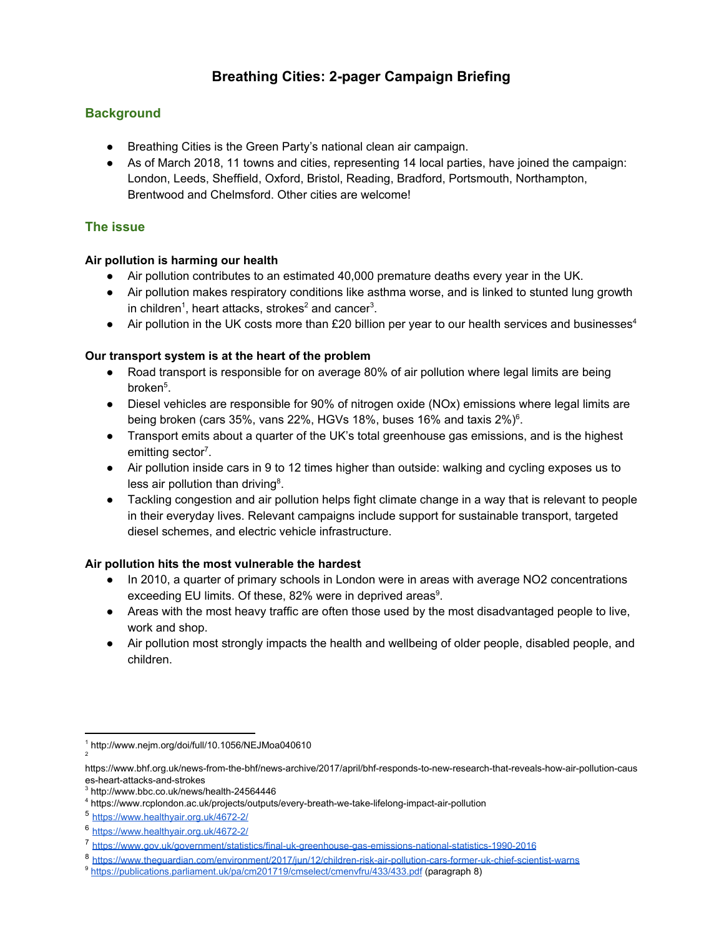# **Breathing Cities: 2-pager Campaign Briefing**

## **Background**

- Breathing Cities is the Green Party's national clean air campaign.
- As of March 2018, 11 towns and cities, representing 14 local parties, have joined the campaign: London, Leeds, Sheffield, Oxford, Bristol, Reading, Bradford, Portsmouth, Northampton, Brentwood and Chelmsford. Other cities are welcome!

## **The issue**

#### **Air pollution is harming our health**

- Air pollution contributes to an estimated 40,000 premature deaths every year in the UK.
- **●** Air pollution makes respiratory conditions like asthma worse, and is linked to stunted lung growth in children<sup>1</sup>, heart attacks, strokes<sup>2</sup> and cancer<sup>3</sup>.
- Air pollution in the UK costs more than £20 billion per year to our health services and businesses<sup>4</sup>

#### **Our transport system is at the heart of the problem**

- Road transport is responsible for on average 80% of air pollution where legal limits are being broken<sup>5</sup>.
- Diesel vehicles are responsible for 90% of nitrogen oxide (NOx) emissions where legal limits are being broken (cars 35%, vans 22%, HGVs 18%, buses 16% and taxis 2%)<sup>6</sup>.
- Transport emits about a quarter of the UK's total greenhouse gas emissions, and is the highest emitting sector<sup>7</sup>.
- Air pollution inside cars in 9 to 12 times higher than outside: walking and cycling exposes us to less air pollution than driving $8$ .
- Tackling congestion and air pollution helps fight climate change in a way that is relevant to people in their everyday lives. Relevant campaigns include support for sustainable transport, targeted diesel schemes, and electric vehicle infrastructure.

#### **Air pollution hits the most vulnerable the hardest**

- In 2010, a quarter of primary schools in London were in areas with average NO2 concentrations exceeding EU limits. Of these, 82% were in deprived areas $9$ .
- Areas with the most heavy traffic are often those used by the most disadvantaged people to live, work and shop.
- Air pollution most strongly impacts the health and wellbeing of older people, disabled people, and children.

2

<sup>1</sup> http://www.nejm.org/doi/full/10.1056/NEJMoa040610

https://www.bhf.org.uk/news-from-the-bhf/news-archive/2017/april/bhf-responds-to-new-research-that-reveals-how-air-pollution-caus es-heart-attacks-and-strokes

<sup>3</sup> http://www.bbc.co.uk/news/health-24564446

<sup>4</sup> https://www.rcplondon.ac.uk/projects/outputs/every-breath-we-take-lifelong-impact-air-pollution

<sup>5</sup> <https://www.healthyair.org.uk/4672-2/>

<sup>6</sup> <https://www.healthyair.org.uk/4672-2/>

<sup>7</sup> <https://www.gov.uk/government/statistics/final-uk-greenhouse-gas-emissions-national-statistics-1990-2016>

<sup>8</sup> <https://www.theguardian.com/environment/2017/jun/12/children-risk-air-pollution-cars-former-uk-chief-scientist-warns>

<sup>&</sup>lt;sup>9</sup> <https://publications.parliament.uk/pa/cm201719/cmselect/cmenvfru/433/433.pdf> (paragraph 8)